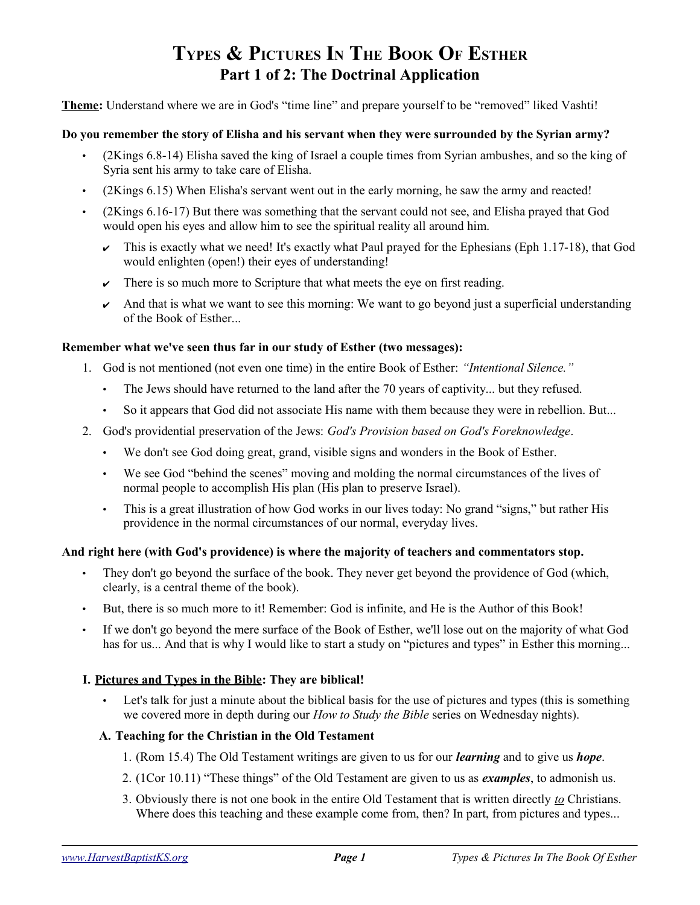# **TYPES & PICTURES IN THE BOOK OF ESTHER Part 1 of 2: The Doctrinal Application**

**Theme:** Understand where we are in God's "time line" and prepare yourself to be "removed" liked Vashti!

#### **Do you remember the story of Elisha and his servant when they were surrounded by the Syrian army?**

- (2Kings 6.8-14) Elisha saved the king of Israel a couple times from Syrian ambushes, and so the king of Syria sent his army to take care of Elisha.
- (2Kings 6.15) When Elisha's servant went out in the early morning, he saw the army and reacted!
- (2Kings 6.16-17) But there was something that the servant could not see, and Elisha prayed that God would open his eyes and allow him to see the spiritual reality all around him.
	- $\sim$  This is exactly what we need! It's exactly what Paul prayed for the Ephesians (Eph 1.17-18), that God would enlighten (open!) their eyes of understanding!
	- $\triangleright$  There is so much more to Scripture that what meets the eye on first reading.
	- And that is what we want to see this morning: We want to go beyond just a superficial understanding of the Book of Esther...

### **Remember what we've seen thus far in our study of Esther (two messages):**

- 1. God is not mentioned (not even one time) in the entire Book of Esther: *"Intentional Silence."*
	- The Jews should have returned to the land after the 70 years of captivity... but they refused.
	- So it appears that God did not associate His name with them because they were in rebellion. But...
- 2. God's providential preservation of the Jews: *God's Provision based on God's Foreknowledge*.
	- We don't see God doing great, grand, visible signs and wonders in the Book of Esther.
	- We see God "behind the scenes" moving and molding the normal circumstances of the lives of normal people to accomplish His plan (His plan to preserve Israel).
	- This is a great illustration of how God works in our lives today: No grand "signs," but rather His providence in the normal circumstances of our normal, everyday lives.

# **And right here (with God's providence) is where the majority of teachers and commentators stop.**

- They don't go beyond the surface of the book. They never get beyond the providence of God (which, clearly, is a central theme of the book).
- But, there is so much more to it! Remember: God is infinite, and He is the Author of this Book!
- If we don't go beyond the mere surface of the Book of Esther, we'll lose out on the majority of what God has for us... And that is why I would like to start a study on "pictures and types" in Esther this morning...

# **I. Pictures and Types in the Bible: They are biblical!**

• Let's talk for just a minute about the biblical basis for the use of pictures and types (this is something we covered more in depth during our *How to Study the Bible* series on Wednesday nights).

# **A. Teaching for the Christian in the Old Testament**

- 1. (Rom 15.4) The Old Testament writings are given to us for our *learning* and to give us *hope*.
- 2. (1Cor 10.11) "These things" of the Old Testament are given to us as *examples*, to admonish us.
- 3. Obviously there is not one book in the entire Old Testament that is written directly *to* Christians. Where does this teaching and these example come from, then? In part, from pictures and types...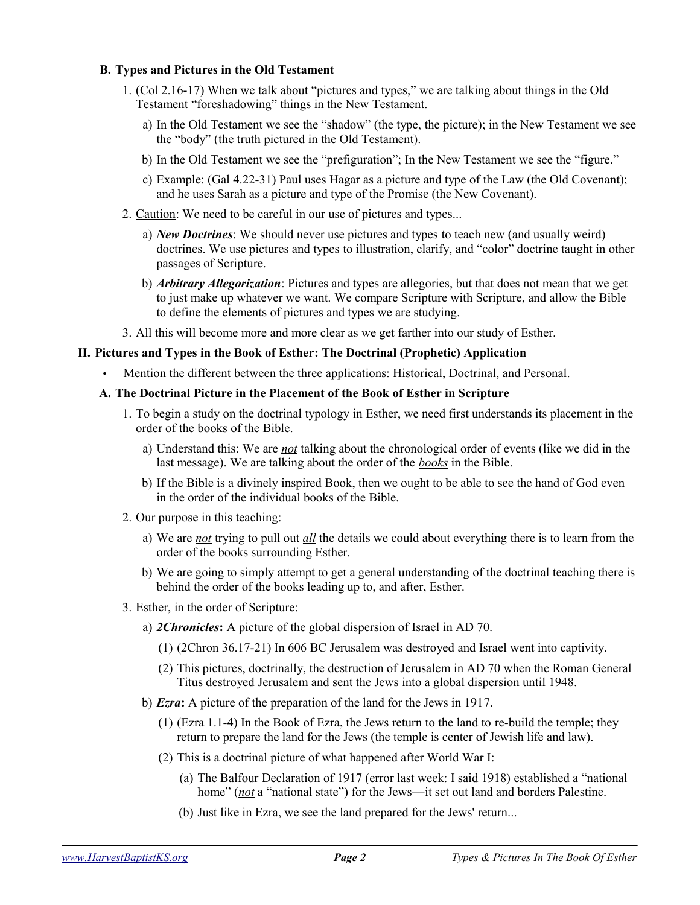## **B. Types and Pictures in the Old Testament**

- 1. (Col 2.16-17) When we talk about "pictures and types," we are talking about things in the Old Testament "foreshadowing" things in the New Testament.
	- a) In the Old Testament we see the "shadow" (the type, the picture); in the New Testament we see the "body" (the truth pictured in the Old Testament).
	- b) In the Old Testament we see the "prefiguration"; In the New Testament we see the "figure."
	- c) Example: (Gal 4.22-31) Paul uses Hagar as a picture and type of the Law (the Old Covenant); and he uses Sarah as a picture and type of the Promise (the New Covenant).
- 2. Caution: We need to be careful in our use of pictures and types...
	- a) *New Doctrines*: We should never use pictures and types to teach new (and usually weird) doctrines. We use pictures and types to illustration, clarify, and "color" doctrine taught in other passages of Scripture.
	- b) *Arbitrary Allegorization*: Pictures and types are allegories, but that does not mean that we get to just make up whatever we want. We compare Scripture with Scripture, and allow the Bible to define the elements of pictures and types we are studying.
- 3. All this will become more and more clear as we get farther into our study of Esther.

### **II. Pictures and Types in the Book of Esther: The Doctrinal (Prophetic) Application**

- Mention the different between the three applications: Historical, Doctrinal, and Personal.
- **A. The Doctrinal Picture in the Placement of the Book of Esther in Scripture**
	- 1. To begin a study on the doctrinal typology in Esther, we need first understands its placement in the order of the books of the Bible.
		- a) Understand this: We are *not* talking about the chronological order of events (like we did in the last message). We are talking about the order of the *books* in the Bible.
		- b) If the Bible is a divinely inspired Book, then we ought to be able to see the hand of God even in the order of the individual books of the Bible.
	- 2. Our purpose in this teaching:
		- a) We are *not* trying to pull out *all* the details we could about everything there is to learn from the order of the books surrounding Esther.
		- b) We are going to simply attempt to get a general understanding of the doctrinal teaching there is behind the order of the books leading up to, and after, Esther.
	- 3. Esther, in the order of Scripture:
		- a) *2Chronicles***:** A picture of the global dispersion of Israel in AD 70.
			- (1) (2Chron 36.17-21) In 606 BC Jerusalem was destroyed and Israel went into captivity.
			- (2) This pictures, doctrinally, the destruction of Jerusalem in AD 70 when the Roman General Titus destroyed Jerusalem and sent the Jews into a global dispersion until 1948.
		- b) *Ezra***:** A picture of the preparation of the land for the Jews in 1917.
			- (1) (Ezra 1.1-4) In the Book of Ezra, the Jews return to the land to re-build the temple; they return to prepare the land for the Jews (the temple is center of Jewish life and law).
			- (2) This is a doctrinal picture of what happened after World War I:
				- (a) The Balfour Declaration of 1917 (error last week: I said 1918) established a "national home" (*not* a "national state") for the Jews—it set out land and borders Palestine.
				- (b) Just like in Ezra, we see the land prepared for the Jews' return...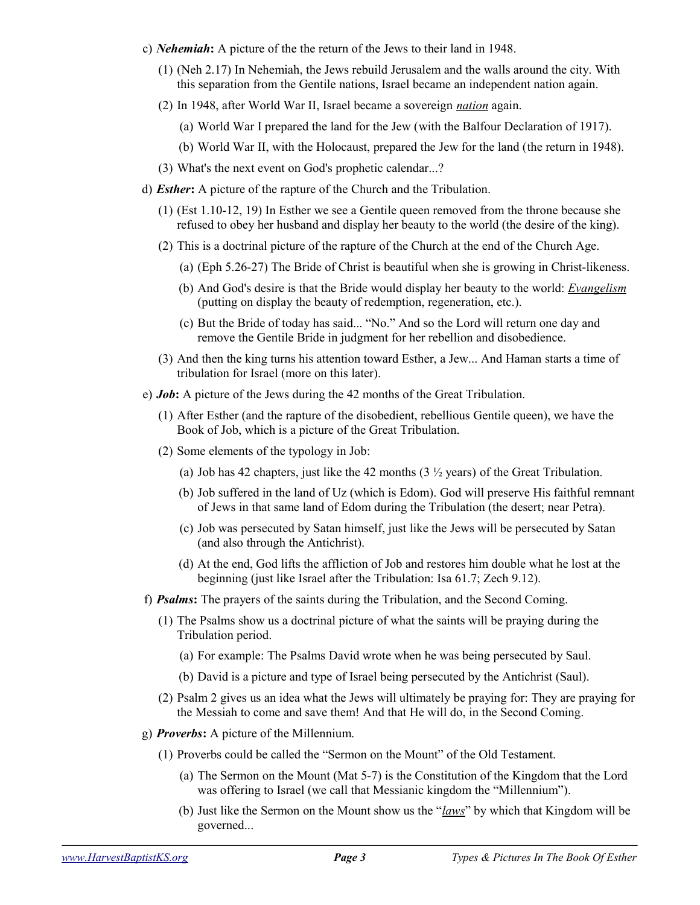- c) *Nehemiah***:** A picture of the the return of the Jews to their land in 1948.
	- (1) (Neh 2.17) In Nehemiah, the Jews rebuild Jerusalem and the walls around the city. With this separation from the Gentile nations, Israel became an independent nation again.
	- (2) In 1948, after World War II, Israel became a sovereign *nation* again.
		- (a) World War I prepared the land for the Jew (with the Balfour Declaration of 1917).
		- (b) World War II, with the Holocaust, prepared the Jew for the land (the return in 1948).
	- (3) What's the next event on God's prophetic calendar...?
- d) *Esther***:** A picture of the rapture of the Church and the Tribulation.
	- (1) (Est 1.10-12, 19) In Esther we see a Gentile queen removed from the throne because she refused to obey her husband and display her beauty to the world (the desire of the king).
	- (2) This is a doctrinal picture of the rapture of the Church at the end of the Church Age.
		- (a) (Eph 5.26-27) The Bride of Christ is beautiful when she is growing in Christ-likeness.
		- (b) And God's desire is that the Bride would display her beauty to the world: *Evangelism* (putting on display the beauty of redemption, regeneration, etc.).
		- (c) But the Bride of today has said... "No." And so the Lord will return one day and remove the Gentile Bride in judgment for her rebellion and disobedience.
	- (3) And then the king turns his attention toward Esther, a Jew... And Haman starts a time of tribulation for Israel (more on this later).
- e) *Job***:** A picture of the Jews during the 42 months of the Great Tribulation.
	- (1) After Esther (and the rapture of the disobedient, rebellious Gentile queen), we have the Book of Job, which is a picture of the Great Tribulation.
	- (2) Some elements of the typology in Job:
		- (a) Job has 42 chapters, just like the 42 months  $(3 \frac{1}{2} \text{ years})$  of the Great Tribulation.
		- (b) Job suffered in the land of Uz (which is Edom). God will preserve His faithful remnant of Jews in that same land of Edom during the Tribulation (the desert; near Petra).
		- (c) Job was persecuted by Satan himself, just like the Jews will be persecuted by Satan (and also through the Antichrist).
		- (d) At the end, God lifts the affliction of Job and restores him double what he lost at the beginning (just like Israel after the Tribulation: Isa 61.7; Zech 9.12).
- f) *Psalms***:** The prayers of the saints during the Tribulation, and the Second Coming.
	- (1) The Psalms show us a doctrinal picture of what the saints will be praying during the Tribulation period.
		- (a) For example: The Psalms David wrote when he was being persecuted by Saul.
		- (b) David is a picture and type of Israel being persecuted by the Antichrist (Saul).
	- (2) Psalm 2 gives us an idea what the Jews will ultimately be praying for: They are praying for the Messiah to come and save them! And that He will do, in the Second Coming.
- g) *Proverbs***:** A picture of the Millennium.
	- (1) Proverbs could be called the "Sermon on the Mount" of the Old Testament.
		- (a) The Sermon on the Mount (Mat 5-7) is the Constitution of the Kingdom that the Lord was offering to Israel (we call that Messianic kingdom the "Millennium").
		- (b) Just like the Sermon on the Mount show us the "*laws*" by which that Kingdom will be governed...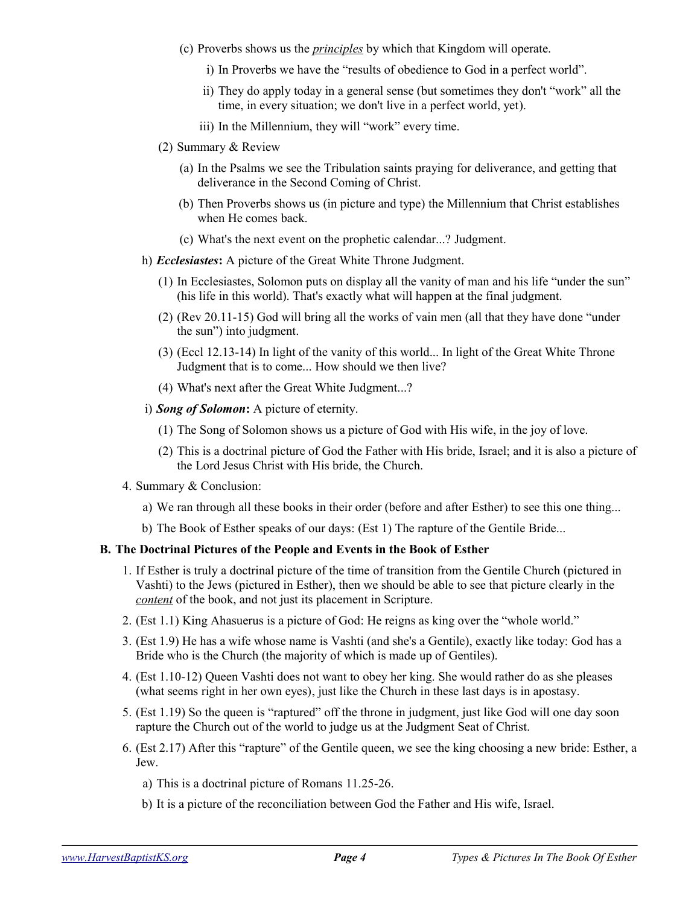- (c) Proverbs shows us the *principles* by which that Kingdom will operate.
	- i) In Proverbs we have the "results of obedience to God in a perfect world".
	- ii) They do apply today in a general sense (but sometimes they don't "work" all the time, in every situation; we don't live in a perfect world, yet).
	- iii) In the Millennium, they will "work" every time.
- (2) Summary & Review
	- (a) In the Psalms we see the Tribulation saints praying for deliverance, and getting that deliverance in the Second Coming of Christ.
	- (b) Then Proverbs shows us (in picture and type) the Millennium that Christ establishes when He comes back.
	- (c) What's the next event on the prophetic calendar...? Judgment.
- h) *Ecclesiastes***:** A picture of the Great White Throne Judgment.
	- (1) In Ecclesiastes, Solomon puts on display all the vanity of man and his life "under the sun" (his life in this world). That's exactly what will happen at the final judgment.
	- (2) (Rev 20.11-15) God will bring all the works of vain men (all that they have done "under the sun") into judgment.
	- (3) (Eccl 12.13-14) In light of the vanity of this world... In light of the Great White Throne Judgment that is to come... How should we then live?
	- (4) What's next after the Great White Judgment...?
- i) *Song of Solomon***:** A picture of eternity.
	- (1) The Song of Solomon shows us a picture of God with His wife, in the joy of love.
	- (2) This is a doctrinal picture of God the Father with His bride, Israel; and it is also a picture of the Lord Jesus Christ with His bride, the Church.
- 4. Summary & Conclusion:
	- a) We ran through all these books in their order (before and after Esther) to see this one thing...
	- b) The Book of Esther speaks of our days: (Est 1) The rapture of the Gentile Bride...

#### **B. The Doctrinal Pictures of the People and Events in the Book of Esther**

- 1. If Esther is truly a doctrinal picture of the time of transition from the Gentile Church (pictured in Vashti) to the Jews (pictured in Esther), then we should be able to see that picture clearly in the *content* of the book, and not just its placement in Scripture.
- 2. (Est 1.1) King Ahasuerus is a picture of God: He reigns as king over the "whole world."
- 3. (Est 1.9) He has a wife whose name is Vashti (and she's a Gentile), exactly like today: God has a Bride who is the Church (the majority of which is made up of Gentiles).
- 4. (Est 1.10-12) Queen Vashti does not want to obey her king. She would rather do as she pleases (what seems right in her own eyes), just like the Church in these last days is in apostasy.
- 5. (Est 1.19) So the queen is "raptured" off the throne in judgment, just like God will one day soon rapture the Church out of the world to judge us at the Judgment Seat of Christ.
- 6. (Est 2.17) After this "rapture" of the Gentile queen, we see the king choosing a new bride: Esther, a Jew.
	- a) This is a doctrinal picture of Romans 11.25-26.
	- b) It is a picture of the reconciliation between God the Father and His wife, Israel.